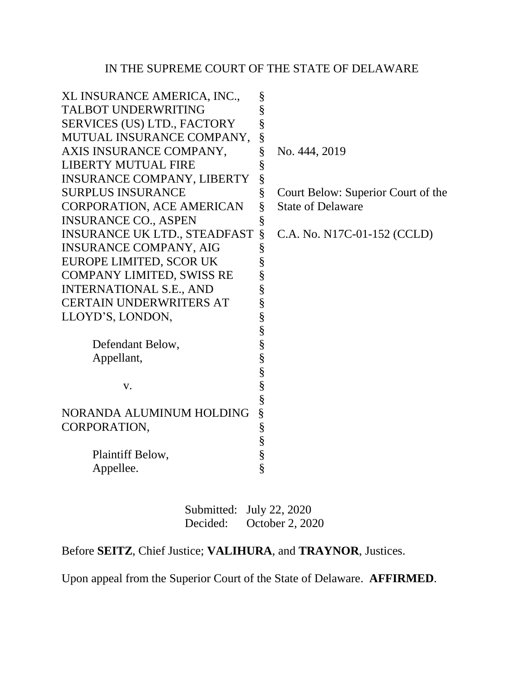# IN THE SUPREME COURT OF THE STATE OF DELAWARE

| XL INSURANCE AMERICA, INC.,         | § |                                    |
|-------------------------------------|---|------------------------------------|
| <b>TALBOT UNDERWRITING</b>          | § |                                    |
| SERVICES (US) LTD., FACTORY         | § |                                    |
| MUTUAL INSURANCE COMPANY,           | § |                                    |
| AXIS INSURANCE COMPANY,             | § | No. 444, 2019                      |
| <b>LIBERTY MUTUAL FIRE</b>          | § |                                    |
| <b>INSURANCE COMPANY, LIBERTY</b>   | § |                                    |
| <b>SURPLUS INSURANCE</b>            | § | Court Below: Superior Court of the |
| <b>CORPORATION, ACE AMERICAN</b>    | § | <b>State of Delaware</b>           |
| <b>INSURANCE CO., ASPEN</b>         | § |                                    |
| <b>INSURANCE UK LTD., STEADFAST</b> | § | C.A. No. N17C-01-152 (CCLD)        |
| <b>INSURANCE COMPANY, AIG</b>       | § |                                    |
| EUROPE LIMITED, SCOR UK             | § |                                    |
| <b>COMPANY LIMITED, SWISS RE</b>    | § |                                    |
| <b>INTERNATIONAL S.E., AND</b>      | § |                                    |
| <b>CERTAIN UNDERWRITERS AT</b>      | § |                                    |
| LLOYD'S, LONDON,                    | § |                                    |
|                                     | § |                                    |
| Defendant Below,                    | § |                                    |
| Appellant,                          | § |                                    |
|                                     | § |                                    |
| $V_{\star}$                         | § |                                    |
|                                     | § |                                    |
| NORANDA ALUMINUM HOLDING            | § |                                    |
| CORPORATION,                        | § |                                    |
|                                     | § |                                    |
| Plaintiff Below,                    | § |                                    |
| Appellee.                           | § |                                    |
|                                     |   |                                    |

Submitted: July 22, 2020 Decided: October 2, 2020

Before **SEITZ**, Chief Justice; **VALIHURA**, and **TRAYNOR**, Justices.

Upon appeal from the Superior Court of the State of Delaware. **AFFIRMED**.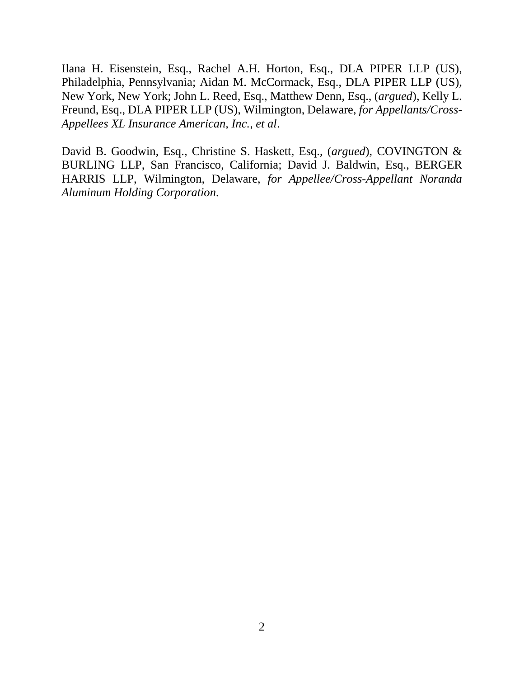Ilana H. Eisenstein, Esq., Rachel A.H. Horton, Esq., DLA PIPER LLP (US), Philadelphia, Pennsylvania; Aidan M. McCormack, Esq., DLA PIPER LLP (US), New York, New York; John L. Reed, Esq., Matthew Denn, Esq., (*argued*), Kelly L. Freund, Esq., DLA PIPER LLP (US), Wilmington, Delaware, *for Appellants/Cross-Appellees XL Insurance American, Inc., et al*.

David B. Goodwin, Esq., Christine S. Haskett, Esq., (*argued*), COVINGTON & BURLING LLP, San Francisco, California; David J. Baldwin, Esq., BERGER HARRIS LLP, Wilmington, Delaware, *for Appellee/Cross-Appellant Noranda Aluminum Holding Corporation.*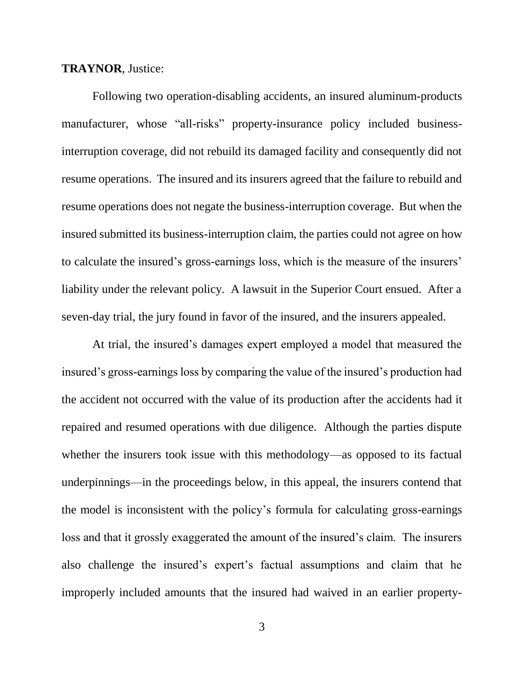#### **TRAYNOR**, Justice:

Following two operation-disabling accidents, an insured aluminum-products manufacturer, whose "all-risks" property-insurance policy included businessinterruption coverage, did not rebuild its damaged facility and consequently did not resume operations. The insured and its insurers agreed that the failure to rebuild and resume operations does not negate the business-interruption coverage. But when the insured submitted its business-interruption claim, the parties could not agree on how to calculate the insured's gross-earnings loss, which is the measure of the insurers' liability under the relevant policy. A lawsuit in the Superior Court ensued. After a seven-day trial, the jury found in favor of the insured, and the insurers appealed.

At trial, the insured's damages expert employed a model that measured the insured's gross-earnings loss by comparing the value of the insured's production had the accident not occurred with the value of its production after the accidents had it repaired and resumed operations with due diligence. Although the parties dispute whether the insurers took issue with this methodology—as opposed to its factual underpinnings—in the proceedings below, in this appeal, the insurers contend that the model is inconsistent with the policy's formula for calculating gross-earnings loss and that it grossly exaggerated the amount of the insured's claim. The insurers also challenge the insured's expert's factual assumptions and claim that he improperly included amounts that the insured had waived in an earlier property-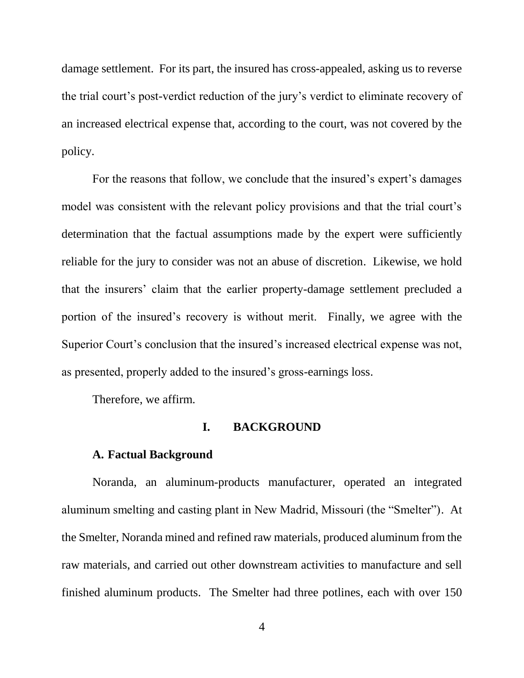damage settlement. For its part, the insured has cross-appealed, asking us to reverse the trial court's post-verdict reduction of the jury's verdict to eliminate recovery of an increased electrical expense that, according to the court, was not covered by the policy.

For the reasons that follow, we conclude that the insured's expert's damages model was consistent with the relevant policy provisions and that the trial court's determination that the factual assumptions made by the expert were sufficiently reliable for the jury to consider was not an abuse of discretion. Likewise, we hold that the insurers' claim that the earlier property-damage settlement precluded a portion of the insured's recovery is without merit. Finally, we agree with the Superior Court's conclusion that the insured's increased electrical expense was not, as presented, properly added to the insured's gross-earnings loss.

Therefore, we affirm.

#### **I. BACKGROUND**

#### **A. Factual Background**

Noranda, an aluminum-products manufacturer, operated an integrated aluminum smelting and casting plant in New Madrid, Missouri (the "Smelter"). At the Smelter, Noranda mined and refined raw materials, produced aluminum from the raw materials, and carried out other downstream activities to manufacture and sell finished aluminum products. The Smelter had three potlines, each with over 150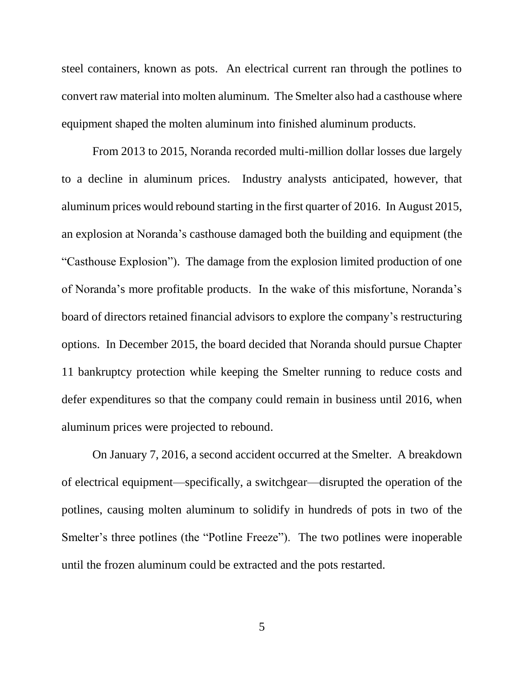steel containers, known as pots. An electrical current ran through the potlines to convert raw material into molten aluminum. The Smelter also had a casthouse where equipment shaped the molten aluminum into finished aluminum products.

From 2013 to 2015, Noranda recorded multi-million dollar losses due largely to a decline in aluminum prices. Industry analysts anticipated, however, that aluminum prices would rebound starting in the first quarter of 2016. In August 2015, an explosion at Noranda's casthouse damaged both the building and equipment (the "Casthouse Explosion"). The damage from the explosion limited production of one of Noranda's more profitable products. In the wake of this misfortune, Noranda's board of directors retained financial advisors to explore the company's restructuring options. In December 2015, the board decided that Noranda should pursue Chapter 11 bankruptcy protection while keeping the Smelter running to reduce costs and defer expenditures so that the company could remain in business until 2016, when aluminum prices were projected to rebound.

On January 7, 2016, a second accident occurred at the Smelter. A breakdown of electrical equipment—specifically, a switchgear—disrupted the operation of the potlines, causing molten aluminum to solidify in hundreds of pots in two of the Smelter's three potlines (the "Potline Freeze"). The two potlines were inoperable until the frozen aluminum could be extracted and the pots restarted.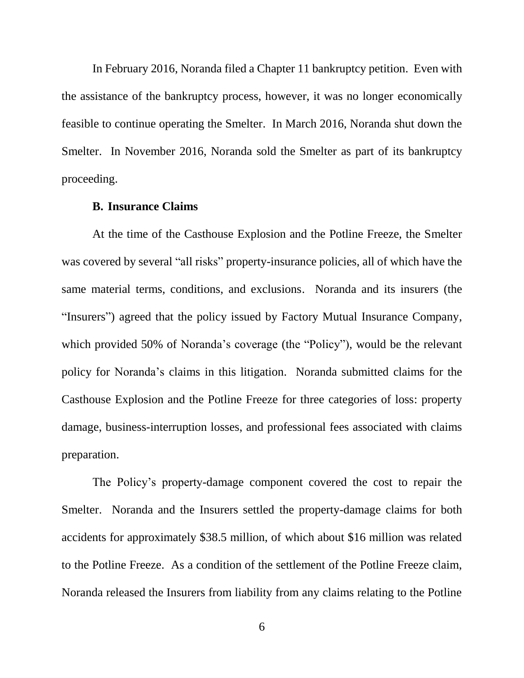In February 2016, Noranda filed a Chapter 11 bankruptcy petition. Even with the assistance of the bankruptcy process, however, it was no longer economically feasible to continue operating the Smelter. In March 2016, Noranda shut down the Smelter. In November 2016, Noranda sold the Smelter as part of its bankruptcy proceeding.

### **B. Insurance Claims**

At the time of the Casthouse Explosion and the Potline Freeze, the Smelter was covered by several "all risks" property-insurance policies, all of which have the same material terms, conditions, and exclusions. Noranda and its insurers (the "Insurers") agreed that the policy issued by Factory Mutual Insurance Company, which provided 50% of Noranda's coverage (the "Policy"), would be the relevant policy for Noranda's claims in this litigation. Noranda submitted claims for the Casthouse Explosion and the Potline Freeze for three categories of loss: property damage, business-interruption losses, and professional fees associated with claims preparation.

The Policy's property-damage component covered the cost to repair the Smelter. Noranda and the Insurers settled the property-damage claims for both accidents for approximately \$38.5 million, of which about \$16 million was related to the Potline Freeze. As a condition of the settlement of the Potline Freeze claim, Noranda released the Insurers from liability from any claims relating to the Potline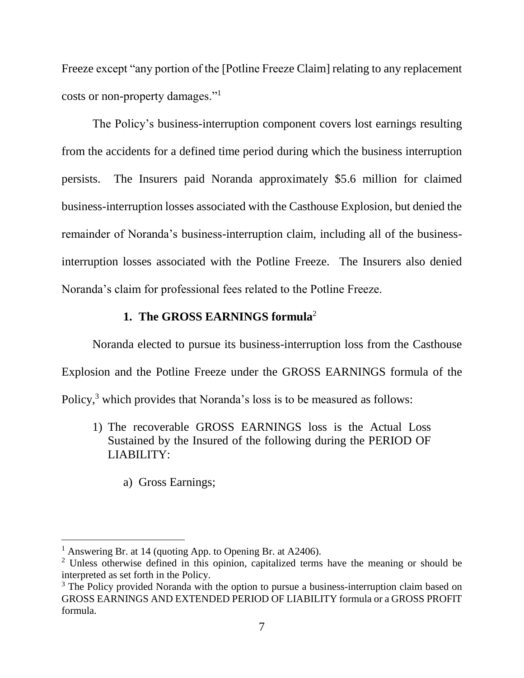Freeze except "any portion of the [Potline Freeze Claim] relating to any replacement costs or non-property damages."<sup>1</sup>

The Policy's business-interruption component covers lost earnings resulting from the accidents for a defined time period during which the business interruption persists. The Insurers paid Noranda approximately \$5.6 million for claimed business-interruption losses associated with the Casthouse Explosion, but denied the remainder of Noranda's business-interruption claim, including all of the businessinterruption losses associated with the Potline Freeze. The Insurers also denied Noranda's claim for professional fees related to the Potline Freeze.

### **1. The GROSS EARNINGS formula**<sup>2</sup>

Noranda elected to pursue its business-interruption loss from the Casthouse Explosion and the Potline Freeze under the GROSS EARNINGS formula of the Policy,<sup>3</sup> which provides that Noranda's loss is to be measured as follows:

- 1) The recoverable GROSS EARNINGS loss is the Actual Loss Sustained by the Insured of the following during the PERIOD OF LIABILITY:
	- a) Gross Earnings;

<sup>&</sup>lt;sup>1</sup> Answering Br. at 14 (quoting App. to Opening Br. at A2406).

<sup>&</sup>lt;sup>2</sup> Unless otherwise defined in this opinion, capitalized terms have the meaning or should be interpreted as set forth in the Policy.

 $3$  The Policy provided Noranda with the option to pursue a business-interruption claim based on GROSS EARNINGS AND EXTENDED PERIOD OF LIABILITY formula or a GROSS PROFIT formula.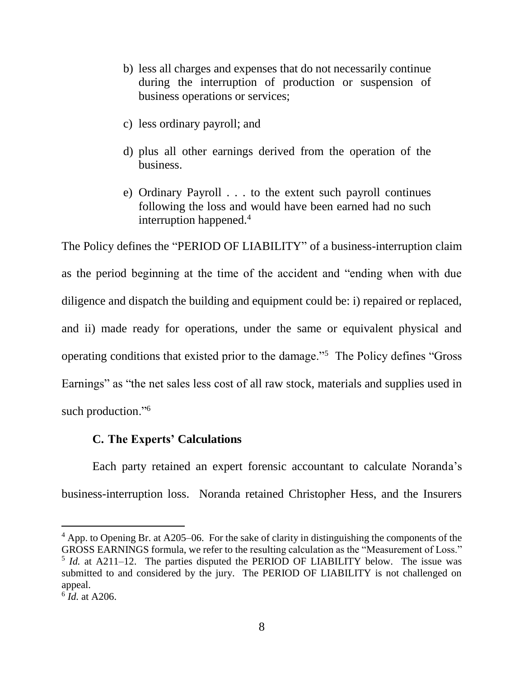- b) less all charges and expenses that do not necessarily continue during the interruption of production or suspension of business operations or services;
- c) less ordinary payroll; and
- d) plus all other earnings derived from the operation of the business.
- e) Ordinary Payroll . . . to the extent such payroll continues following the loss and would have been earned had no such interruption happened.<sup>4</sup>

The Policy defines the "PERIOD OF LIABILITY" of a business-interruption claim as the period beginning at the time of the accident and "ending when with due diligence and dispatch the building and equipment could be: i) repaired or replaced, and ii) made ready for operations, under the same or equivalent physical and operating conditions that existed prior to the damage."<sup>5</sup> The Policy defines "Gross Earnings" as "the net sales less cost of all raw stock, materials and supplies used in such production."<sup>6</sup>

## **C. The Experts' Calculations**

Each party retained an expert forensic accountant to calculate Noranda's business-interruption loss. Noranda retained Christopher Hess, and the Insurers

<sup>4</sup> App. to Opening Br. at A205–06. For the sake of clarity in distinguishing the components of the GROSS EARNINGS formula, we refer to the resulting calculation as the "Measurement of Loss." <sup>5</sup> *Id.* at A211–12. The parties disputed the PERIOD OF LIABILITY below. The issue was submitted to and considered by the jury. The PERIOD OF LIABILITY is not challenged on appeal.

<sup>6</sup> *Id.* at A206.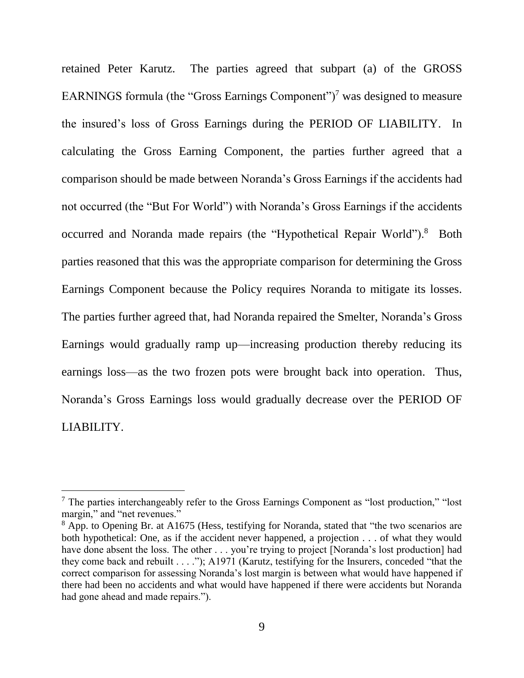retained Peter Karutz. The parties agreed that subpart (a) of the GROSS EARNINGS formula (the "Gross Earnings Component")<sup>7</sup> was designed to measure the insured's loss of Gross Earnings during the PERIOD OF LIABILITY. In calculating the Gross Earning Component, the parties further agreed that a comparison should be made between Noranda's Gross Earnings if the accidents had not occurred (the "But For World") with Noranda's Gross Earnings if the accidents occurred and Noranda made repairs (the "Hypothetical Repair World").<sup>8</sup> Both parties reasoned that this was the appropriate comparison for determining the Gross Earnings Component because the Policy requires Noranda to mitigate its losses. The parties further agreed that, had Noranda repaired the Smelter, Noranda's Gross Earnings would gradually ramp up—increasing production thereby reducing its earnings loss—as the two frozen pots were brought back into operation. Thus, Noranda's Gross Earnings loss would gradually decrease over the PERIOD OF LIABILITY.

 $<sup>7</sup>$  The parties interchangeably refer to the Gross Earnings Component as "lost production," "lost</sup> margin," and "net revenues."

<sup>&</sup>lt;sup>8</sup> App. to Opening Br. at A1675 (Hess, testifying for Noranda, stated that "the two scenarios are both hypothetical: One, as if the accident never happened, a projection . . . of what they would have done absent the loss. The other . . . you're trying to project [Noranda's lost production] had they come back and rebuilt . . . ."); A1971 (Karutz, testifying for the Insurers, conceded "that the correct comparison for assessing Noranda's lost margin is between what would have happened if there had been no accidents and what would have happened if there were accidents but Noranda had gone ahead and made repairs.").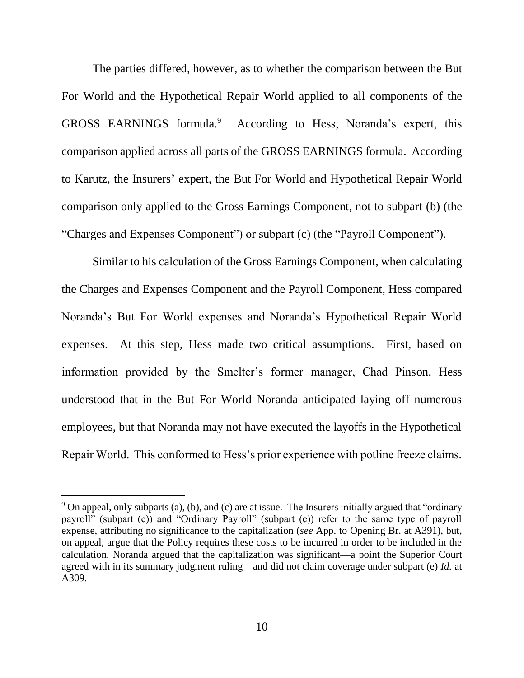The parties differed, however, as to whether the comparison between the But For World and the Hypothetical Repair World applied to all components of the GROSS EARNINGS formula.<sup>9</sup> According to Hess, Noranda's expert, this comparison applied across all parts of the GROSS EARNINGS formula. According to Karutz, the Insurers' expert, the But For World and Hypothetical Repair World comparison only applied to the Gross Earnings Component, not to subpart (b) (the "Charges and Expenses Component") or subpart (c) (the "Payroll Component").

Similar to his calculation of the Gross Earnings Component, when calculating the Charges and Expenses Component and the Payroll Component, Hess compared Noranda's But For World expenses and Noranda's Hypothetical Repair World expenses. At this step, Hess made two critical assumptions. First, based on information provided by the Smelter's former manager, Chad Pinson, Hess understood that in the But For World Noranda anticipated laying off numerous employees, but that Noranda may not have executed the layoffs in the Hypothetical Repair World. This conformed to Hess's prior experience with potline freeze claims.

 $9$  On appeal, only subparts (a), (b), and (c) are at issue. The Insurers initially argued that "ordinary payroll" (subpart (c)) and "Ordinary Payroll" (subpart (e)) refer to the same type of payroll expense, attributing no significance to the capitalization (*see* App. to Opening Br. at A391), but, on appeal, argue that the Policy requires these costs to be incurred in order to be included in the calculation. Noranda argued that the capitalization was significant—a point the Superior Court agreed with in its summary judgment ruling—and did not claim coverage under subpart (e) *Id.* at A309.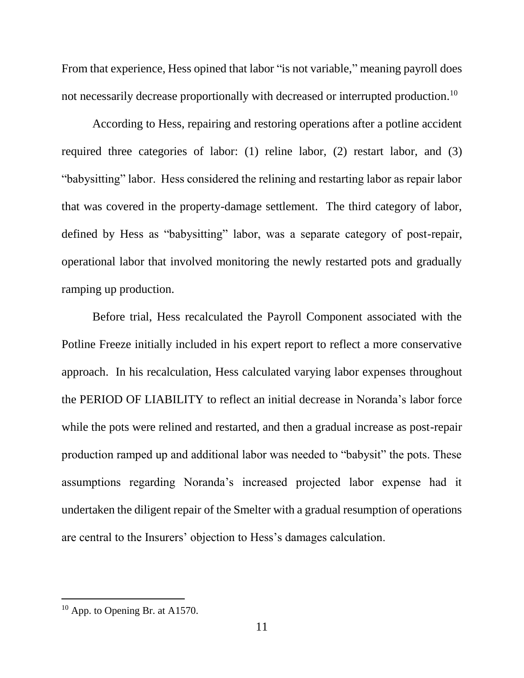From that experience, Hess opined that labor "is not variable," meaning payroll does not necessarily decrease proportionally with decreased or interrupted production.<sup>10</sup>

According to Hess, repairing and restoring operations after a potline accident required three categories of labor: (1) reline labor, (2) restart labor, and (3) "babysitting" labor. Hess considered the relining and restarting labor as repair labor that was covered in the property-damage settlement. The third category of labor, defined by Hess as "babysitting" labor, was a separate category of post-repair, operational labor that involved monitoring the newly restarted pots and gradually ramping up production.

Before trial, Hess recalculated the Payroll Component associated with the Potline Freeze initially included in his expert report to reflect a more conservative approach. In his recalculation, Hess calculated varying labor expenses throughout the PERIOD OF LIABILITY to reflect an initial decrease in Noranda's labor force while the pots were relined and restarted, and then a gradual increase as post-repair production ramped up and additional labor was needed to "babysit" the pots. These assumptions regarding Noranda's increased projected labor expense had it undertaken the diligent repair of the Smelter with a gradual resumption of operations are central to the Insurers' objection to Hess's damages calculation.

 $10$  App. to Opening Br. at A1570.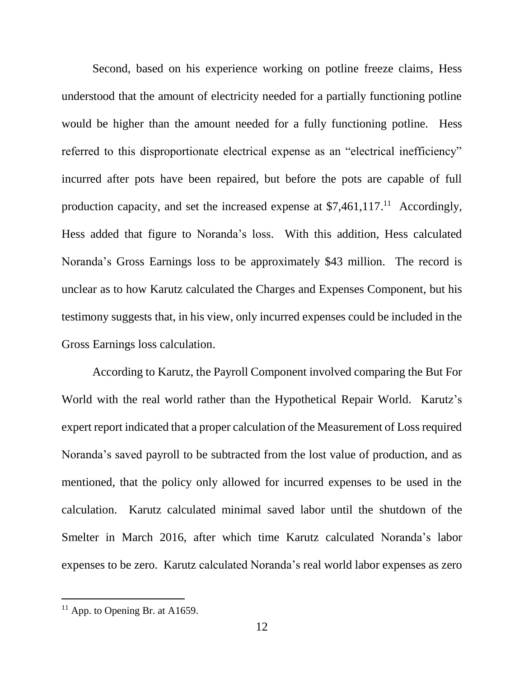Second, based on his experience working on potline freeze claims, Hess understood that the amount of electricity needed for a partially functioning potline would be higher than the amount needed for a fully functioning potline. Hess referred to this disproportionate electrical expense as an "electrical inefficiency" incurred after pots have been repaired, but before the pots are capable of full production capacity, and set the increased expense at \$7,461,117.<sup>11</sup> Accordingly, Hess added that figure to Noranda's loss. With this addition, Hess calculated Noranda's Gross Earnings loss to be approximately \$43 million. The record is unclear as to how Karutz calculated the Charges and Expenses Component, but his testimony suggests that, in his view, only incurred expenses could be included in the Gross Earnings loss calculation.

According to Karutz, the Payroll Component involved comparing the But For World with the real world rather than the Hypothetical Repair World. Karutz's expert report indicated that a proper calculation of the Measurement of Loss required Noranda's saved payroll to be subtracted from the lost value of production, and as mentioned, that the policy only allowed for incurred expenses to be used in the calculation. Karutz calculated minimal saved labor until the shutdown of the Smelter in March 2016, after which time Karutz calculated Noranda's labor expenses to be zero. Karutz calculated Noranda's real world labor expenses as zero

 $11$  App. to Opening Br. at A1659.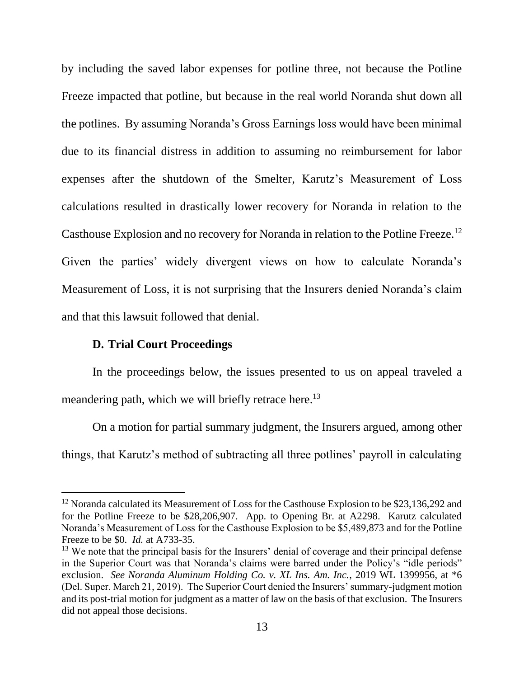by including the saved labor expenses for potline three, not because the Potline Freeze impacted that potline, but because in the real world Noranda shut down all the potlines. By assuming Noranda's Gross Earnings loss would have been minimal due to its financial distress in addition to assuming no reimbursement for labor expenses after the shutdown of the Smelter, Karutz's Measurement of Loss calculations resulted in drastically lower recovery for Noranda in relation to the Casthouse Explosion and no recovery for Noranda in relation to the Potline Freeze.<sup>12</sup> Given the parties' widely divergent views on how to calculate Noranda's Measurement of Loss, it is not surprising that the Insurers denied Noranda's claim and that this lawsuit followed that denial.

### **D. Trial Court Proceedings**

 $\overline{a}$ 

In the proceedings below, the issues presented to us on appeal traveled a meandering path, which we will briefly retrace here.<sup>13</sup>

On a motion for partial summary judgment, the Insurers argued, among other things, that Karutz's method of subtracting all three potlines' payroll in calculating

<sup>&</sup>lt;sup>12</sup> Noranda calculated its Measurement of Loss for the Casthouse Explosion to be \$23,136,292 and for the Potline Freeze to be \$28,206,907. App. to Opening Br. at A2298. Karutz calculated Noranda's Measurement of Loss for the Casthouse Explosion to be \$5,489,873 and for the Potline Freeze to be \$0. *Id.* at A733-35.

<sup>&</sup>lt;sup>13</sup> We note that the principal basis for the Insurers' denial of coverage and their principal defense in the Superior Court was that Noranda's claims were barred under the Policy's "idle periods" exclusion. *See Noranda Aluminum Holding Co. v. XL Ins. Am. Inc.*, 2019 WL 1399956, at \*6 (Del. Super. March 21, 2019). The Superior Court denied the Insurers' summary-judgment motion and its post-trial motion for judgment as a matter of law on the basis of that exclusion. The Insurers did not appeal those decisions.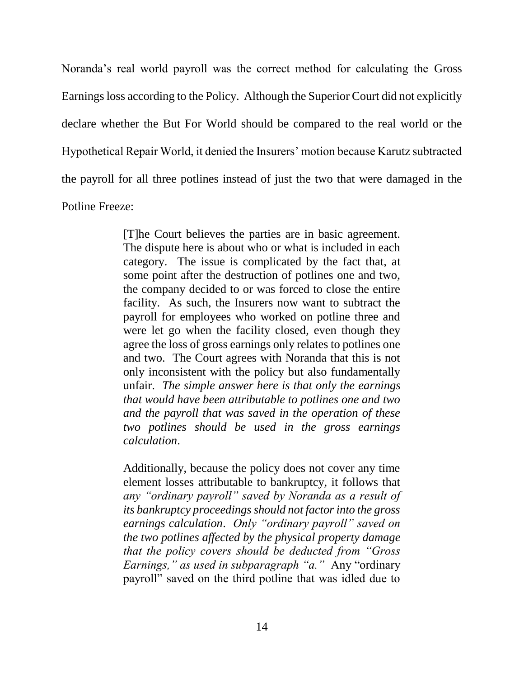Noranda's real world payroll was the correct method for calculating the Gross Earningsloss according to the Policy. Although the Superior Court did not explicitly declare whether the But For World should be compared to the real world or the Hypothetical Repair World, it denied the Insurers' motion because Karutz subtracted the payroll for all three potlines instead of just the two that were damaged in the Potline Freeze:

> [T]he Court believes the parties are in basic agreement. The dispute here is about who or what is included in each category. The issue is complicated by the fact that, at some point after the destruction of potlines one and two, the company decided to or was forced to close the entire facility. As such, the Insurers now want to subtract the payroll for employees who worked on potline three and were let go when the facility closed, even though they agree the loss of gross earnings only relates to potlines one and two. The Court agrees with Noranda that this is not only inconsistent with the policy but also fundamentally unfair. *The simple answer here is that only the earnings that would have been attributable to potlines one and two and the payroll that was saved in the operation of these two potlines should be used in the gross earnings calculation*.

> Additionally, because the policy does not cover any time element losses attributable to bankruptcy, it follows that *any "ordinary payroll" saved by Noranda as a result of its bankruptcy proceedings should not factor into the gross earnings calculation*. *Only "ordinary payroll" saved on the two potlines affected by the physical property damage that the policy covers should be deducted from "Gross Earnings," as used in subparagraph "a."* Any "ordinary payroll" saved on the third potline that was idled due to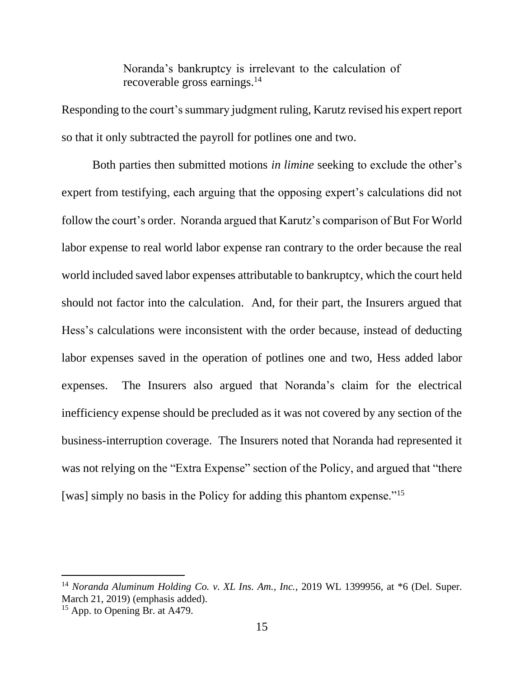Noranda's bankruptcy is irrelevant to the calculation of recoverable gross earnings.<sup>14</sup>

Responding to the court's summary judgment ruling, Karutz revised his expert report so that it only subtracted the payroll for potlines one and two.

Both parties then submitted motions *in limine* seeking to exclude the other's expert from testifying, each arguing that the opposing expert's calculations did not follow the court's order. Noranda argued that Karutz's comparison of But For World labor expense to real world labor expense ran contrary to the order because the real world included saved labor expenses attributable to bankruptcy, which the court held should not factor into the calculation. And, for their part, the Insurers argued that Hess's calculations were inconsistent with the order because, instead of deducting labor expenses saved in the operation of potlines one and two, Hess added labor expenses. The Insurers also argued that Noranda's claim for the electrical inefficiency expense should be precluded as it was not covered by any section of the business-interruption coverage. The Insurers noted that Noranda had represented it was not relying on the "Extra Expense" section of the Policy, and argued that "there [was] simply no basis in the Policy for adding this phantom expense."<sup>15</sup>

<sup>14</sup> *Noranda Aluminum Holding Co. v. XL Ins. Am., Inc.*, 2019 WL 1399956, at \*6 (Del. Super. March 21, 2019) (emphasis added).

<sup>&</sup>lt;sup>15</sup> App. to Opening Br. at A479.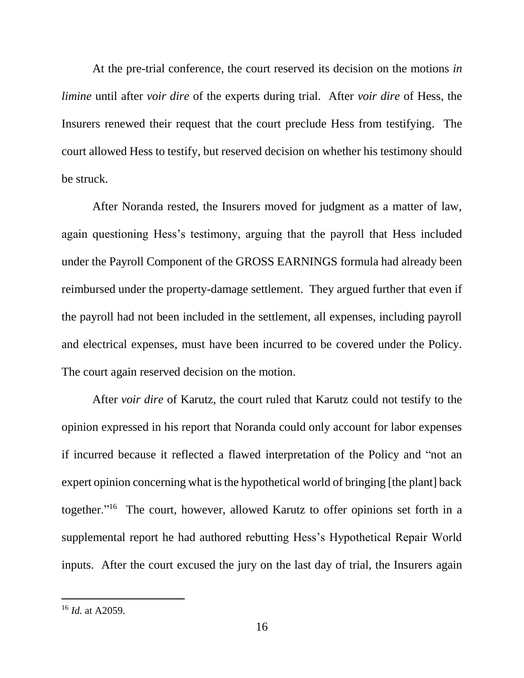At the pre-trial conference, the court reserved its decision on the motions *in limine* until after *voir dire* of the experts during trial. After *voir dire* of Hess, the Insurers renewed their request that the court preclude Hess from testifying. The court allowed Hess to testify, but reserved decision on whether his testimony should be struck.

After Noranda rested, the Insurers moved for judgment as a matter of law, again questioning Hess's testimony, arguing that the payroll that Hess included under the Payroll Component of the GROSS EARNINGS formula had already been reimbursed under the property-damage settlement. They argued further that even if the payroll had not been included in the settlement, all expenses, including payroll and electrical expenses, must have been incurred to be covered under the Policy. The court again reserved decision on the motion.

After *voir dire* of Karutz, the court ruled that Karutz could not testify to the opinion expressed in his report that Noranda could only account for labor expenses if incurred because it reflected a flawed interpretation of the Policy and "not an expert opinion concerning what is the hypothetical world of bringing [the plant] back together."<sup>16</sup> The court, however, allowed Karutz to offer opinions set forth in a supplemental report he had authored rebutting Hess's Hypothetical Repair World inputs. After the court excused the jury on the last day of trial, the Insurers again

<sup>16</sup> *Id.* at A2059.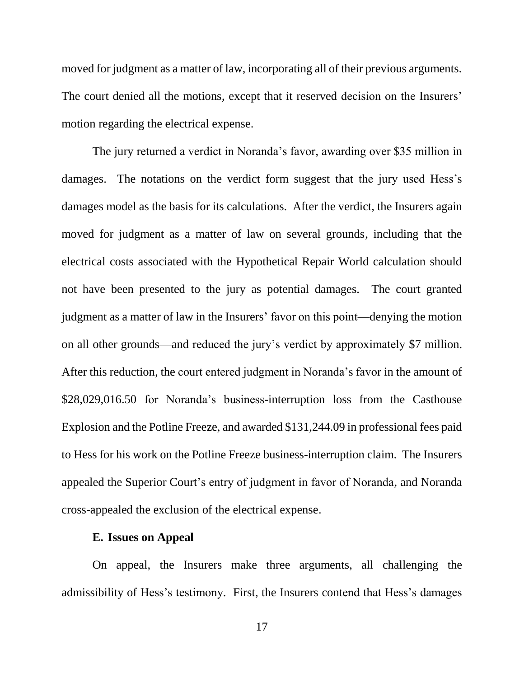moved for judgment as a matter of law, incorporating all of their previous arguments. The court denied all the motions, except that it reserved decision on the Insurers' motion regarding the electrical expense.

The jury returned a verdict in Noranda's favor, awarding over \$35 million in damages. The notations on the verdict form suggest that the jury used Hess's damages model as the basis for its calculations. After the verdict, the Insurers again moved for judgment as a matter of law on several grounds, including that the electrical costs associated with the Hypothetical Repair World calculation should not have been presented to the jury as potential damages. The court granted judgment as a matter of law in the Insurers' favor on this point—denying the motion on all other grounds—and reduced the jury's verdict by approximately \$7 million. After this reduction, the court entered judgment in Noranda's favor in the amount of \$28,029,016.50 for Noranda's business-interruption loss from the Casthouse Explosion and the Potline Freeze, and awarded \$131,244.09 in professional fees paid to Hess for his work on the Potline Freeze business-interruption claim. The Insurers appealed the Superior Court's entry of judgment in favor of Noranda, and Noranda cross-appealed the exclusion of the electrical expense.

#### **E. Issues on Appeal**

On appeal, the Insurers make three arguments, all challenging the admissibility of Hess's testimony. First, the Insurers contend that Hess's damages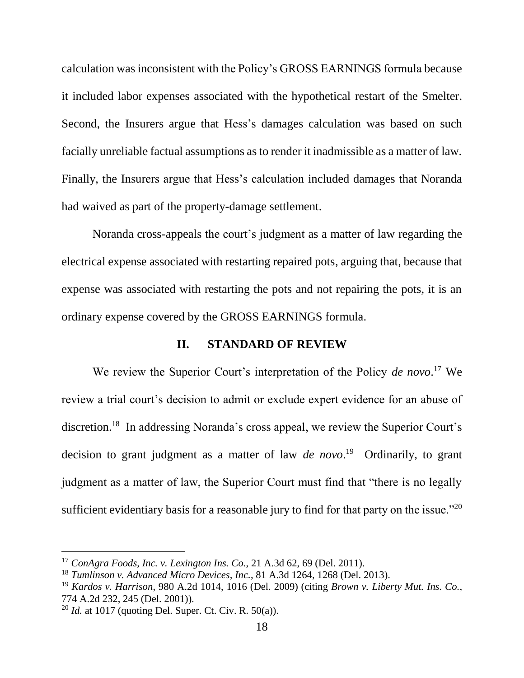calculation was inconsistent with the Policy's GROSS EARNINGS formula because it included labor expenses associated with the hypothetical restart of the Smelter. Second, the Insurers argue that Hess's damages calculation was based on such facially unreliable factual assumptions as to render it inadmissible as a matter of law. Finally, the Insurers argue that Hess's calculation included damages that Noranda had waived as part of the property-damage settlement.

Noranda cross-appeals the court's judgment as a matter of law regarding the electrical expense associated with restarting repaired pots, arguing that, because that expense was associated with restarting the pots and not repairing the pots, it is an ordinary expense covered by the GROSS EARNINGS formula.

### **II. STANDARD OF REVIEW**

We review the Superior Court's interpretation of the Policy *de novo*. <sup>17</sup> We review a trial court's decision to admit or exclude expert evidence for an abuse of discretion. 18 In addressing Noranda's cross appeal, we review the Superior Court's decision to grant judgment as a matter of law *de novo*. 19 Ordinarily, to grant judgment as a matter of law, the Superior Court must find that "there is no legally sufficient evidentiary basis for a reasonable jury to find for that party on the issue." $20$ 

<sup>17</sup> *ConAgra Foods, Inc. v. Lexington Ins. Co.*, 21 A.3d 62, 69 (Del. 2011).

<sup>18</sup> *Tumlinson v. Advanced Micro Devices, Inc.*, 81 A.3d 1264, 1268 (Del. 2013).

<sup>19</sup> *Kardos v. Harrison*, 980 A.2d 1014, 1016 (Del. 2009) (citing *Brown v. Liberty Mut. Ins. Co.*, 774 A.2d 232, 245 (Del. 2001)).

<sup>&</sup>lt;sup>20</sup> *Id.* at 1017 (quoting Del. Super. Ct. Civ. R.  $50(a)$ ).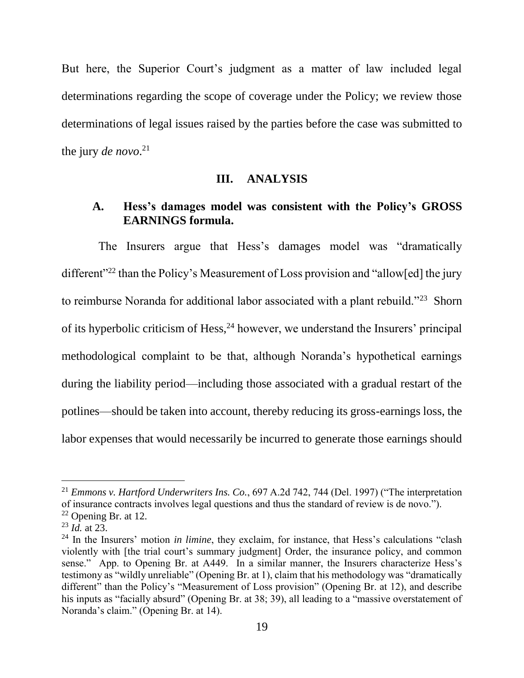But here, the Superior Court's judgment as a matter of law included legal determinations regarding the scope of coverage under the Policy; we review those determinations of legal issues raised by the parties before the case was submitted to the jury *de novo*. 21

#### **III. ANALYSIS**

### **A. Hess's damages model was consistent with the Policy's GROSS EARNINGS formula.**

The Insurers argue that Hess's damages model was "dramatically different<sup>"22</sup> than the Policy's Measurement of Loss provision and "allow[ed] the jury to reimburse Noranda for additional labor associated with a plant rebuild."<sup>23</sup> Shorn of its hyperbolic criticism of Hess,  $24$  however, we understand the Insurers' principal methodological complaint to be that, although Noranda's hypothetical earnings during the liability period—including those associated with a gradual restart of the potlines—should be taken into account, thereby reducing its gross-earnings loss, the labor expenses that would necessarily be incurred to generate those earnings should

<sup>21</sup> *Emmons v. Hartford Underwriters Ins. Co.*, 697 A.2d 742, 744 (Del. 1997) ("The interpretation of insurance contracts involves legal questions and thus the standard of review is de novo.").

 $22$  Opening Br. at 12.

<sup>23</sup> *Id.* at 23.

<sup>&</sup>lt;sup>24</sup> In the Insurers' motion *in limine*, they exclaim, for instance, that Hess's calculations "clash" violently with [the trial court's summary judgment] Order, the insurance policy, and common sense." App. to Opening Br. at A449. In a similar manner, the Insurers characterize Hess's testimony as "wildly unreliable" (Opening Br. at 1), claim that his methodology was "dramatically different" than the Policy's "Measurement of Loss provision" (Opening Br. at 12), and describe his inputs as "facially absurd" (Opening Br. at 38; 39), all leading to a "massive overstatement of Noranda's claim." (Opening Br. at 14).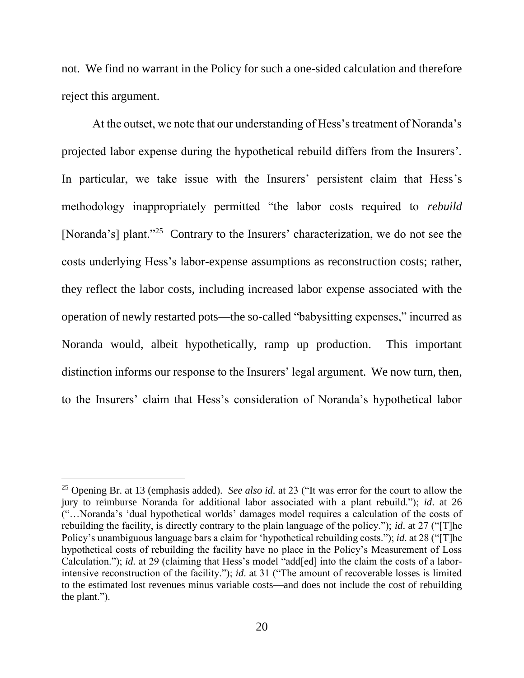not. We find no warrant in the Policy for such a one-sided calculation and therefore reject this argument.

At the outset, we note that our understanding of Hess's treatment of Noranda's projected labor expense during the hypothetical rebuild differs from the Insurers'. In particular, we take issue with the Insurers' persistent claim that Hess's methodology inappropriately permitted "the labor costs required to *rebuild* [Noranda's] plant."<sup>25</sup> Contrary to the Insurers' characterization, we do not see the costs underlying Hess's labor-expense assumptions as reconstruction costs; rather, they reflect the labor costs, including increased labor expense associated with the operation of newly restarted pots—the so-called "babysitting expenses," incurred as Noranda would, albeit hypothetically, ramp up production. This important distinction informs our response to the Insurers' legal argument. We now turn, then, to the Insurers' claim that Hess's consideration of Noranda's hypothetical labor

<sup>25</sup> Opening Br. at 13 (emphasis added). *See also id.* at 23 ("It was error for the court to allow the jury to reimburse Noranda for additional labor associated with a plant rebuild."); *id*. at 26 ("…Noranda's 'dual hypothetical worlds' damages model requires a calculation of the costs of rebuilding the facility, is directly contrary to the plain language of the policy."); *id*. at 27 ("[T]he Policy's unambiguous language bars a claim for 'hypothetical rebuilding costs."); *id*. at 28 ("[T]he hypothetical costs of rebuilding the facility have no place in the Policy's Measurement of Loss Calculation."); *id.* at 29 (claiming that Hess's model "add[ed] into the claim the costs of a laborintensive reconstruction of the facility."); *id*. at 31 ("The amount of recoverable losses is limited to the estimated lost revenues minus variable costs—and does not include the cost of rebuilding the plant.").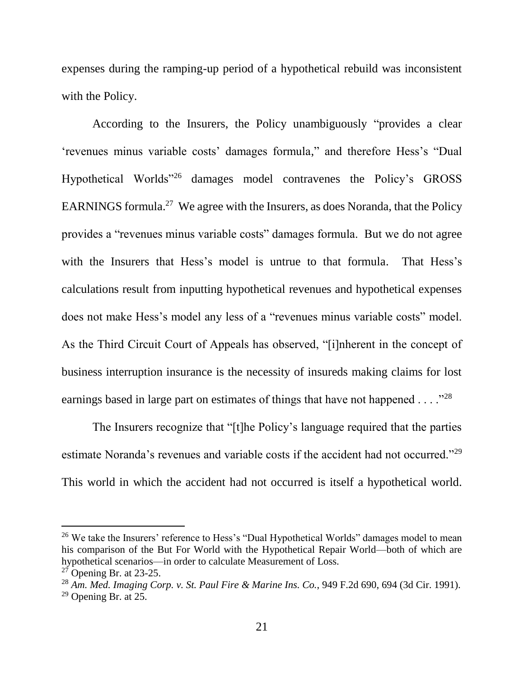expenses during the ramping-up period of a hypothetical rebuild was inconsistent with the Policy.

According to the Insurers, the Policy unambiguously "provides a clear 'revenues minus variable costs' damages formula," and therefore Hess's "Dual Hypothetical Worlds"<sup>26</sup> damages model contravenes the Policy's GROSS EARNINGS formula.<sup>27</sup> We agree with the Insurers, as does Noranda, that the Policy provides a "revenues minus variable costs" damages formula. But we do not agree with the Insurers that Hess's model is untrue to that formula. That Hess's calculations result from inputting hypothetical revenues and hypothetical expenses does not make Hess's model any less of a "revenues minus variable costs" model. As the Third Circuit Court of Appeals has observed, "[i]nherent in the concept of business interruption insurance is the necessity of insureds making claims for lost earnings based in large part on estimates of things that have not happened  $\dots$ ."<sup>28</sup>

The Insurers recognize that "[t]he Policy's language required that the parties estimate Noranda's revenues and variable costs if the accident had not occurred."<sup>29</sup> This world in which the accident had not occurred is itself a hypothetical world.

<sup>&</sup>lt;sup>26</sup> We take the Insurers' reference to Hess's "Dual Hypothetical Worlds" damages model to mean his comparison of the But For World with the Hypothetical Repair World—both of which are hypothetical scenarios—in order to calculate Measurement of Loss.

 $27$  Opening Br. at 23-25.

<sup>28</sup> *Am. Med. Imaging Corp. v. St. Paul Fire & Marine Ins. Co.*, 949 F.2d 690, 694 (3d Cir. 1991).

 $29$  Opening Br. at 25.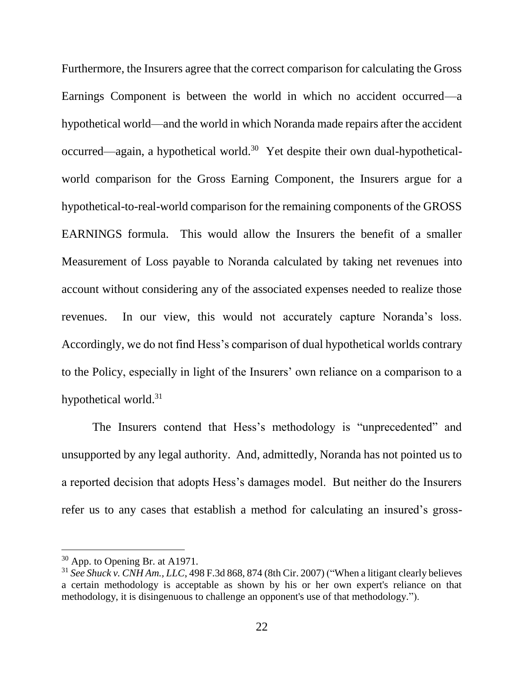Furthermore, the Insurers agree that the correct comparison for calculating the Gross Earnings Component is between the world in which no accident occurred—a hypothetical world—and the world in which Noranda made repairs after the accident occurred—again, a hypothetical world.<sup>30</sup> Yet despite their own dual-hypotheticalworld comparison for the Gross Earning Component, the Insurers argue for a hypothetical-to-real-world comparison for the remaining components of the GROSS EARNINGS formula. This would allow the Insurers the benefit of a smaller Measurement of Loss payable to Noranda calculated by taking net revenues into account without considering any of the associated expenses needed to realize those revenues. In our view, this would not accurately capture Noranda's loss. Accordingly, we do not find Hess's comparison of dual hypothetical worlds contrary to the Policy, especially in light of the Insurers' own reliance on a comparison to a hypothetical world.<sup>31</sup>

The Insurers contend that Hess's methodology is "unprecedented" and unsupported by any legal authority. And, admittedly, Noranda has not pointed us to a reported decision that adopts Hess's damages model. But neither do the Insurers refer us to any cases that establish a method for calculating an insured's gross-

<sup>&</sup>lt;sup>30</sup> App. to Opening Br. at A1971.

<sup>31</sup> *See Shuck v. CNH Am., LLC*, 498 F.3d 868, 874 (8th Cir. 2007) ("When a litigant clearly believes a certain methodology is acceptable as shown by his or her own expert's reliance on that methodology, it is disingenuous to challenge an opponent's use of that methodology.").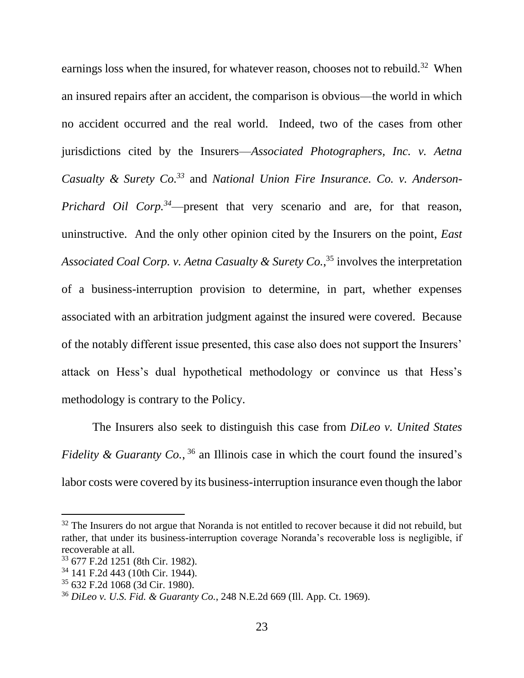earnings loss when the insured, for whatever reason, chooses not to rebuild.<sup>32</sup> When an insured repairs after an accident, the comparison is obvious—the world in which no accident occurred and the real world. Indeed, two of the cases from other jurisdictions cited by the Insurers—*Associated Photographers, Inc. v. Aetna Casualty & Surety Co.<sup>33</sup>* and *National Union Fire Insurance. Co. v. Anderson-Prichard Oil Corp.<sup>34</sup>*—present that very scenario and are, for that reason, uninstructive. And the only other opinion cited by the Insurers on the point, *East Associated Coal Corp. v. Aetna Casualty & Surety Co.*, <sup>35</sup> involves the interpretation of a business-interruption provision to determine, in part, whether expenses associated with an arbitration judgment against the insured were covered. Because of the notably different issue presented, this case also does not support the Insurers' attack on Hess's dual hypothetical methodology or convince us that Hess's methodology is contrary to the Policy.

The Insurers also seek to distinguish this case from *DiLeo v. United States Fidelity & Guaranty Co.*,  $36$  an Illinois case in which the court found the insured's labor costs were covered by its business-interruption insurance even though the labor

 $32$  The Insurers do not argue that Noranda is not entitled to recover because it did not rebuild, but rather, that under its business-interruption coverage Noranda's recoverable loss is negligible, if recoverable at all.

<sup>33</sup> 677 F.2d 1251 (8th Cir. 1982).

<sup>34</sup> 141 F.2d 443 (10th Cir. 1944).

<sup>35</sup> 632 F.2d 1068 (3d Cir. 1980).

<sup>36</sup> *DiLeo v. U.S. Fid. & Guaranty Co.*, 248 N.E.2d 669 (Ill. App. Ct. 1969).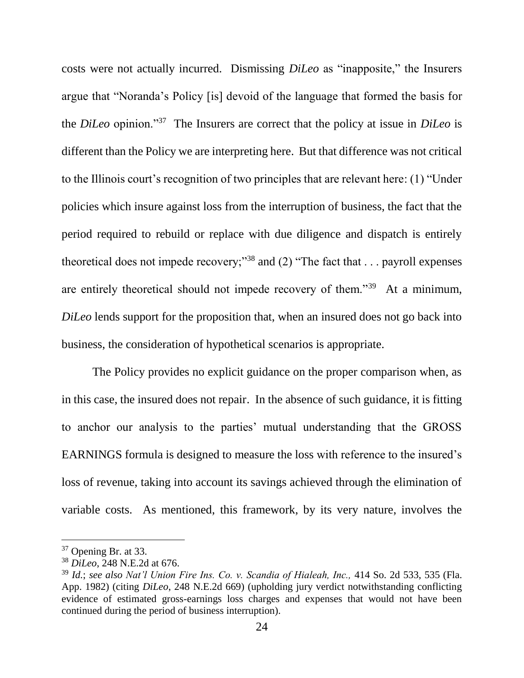costs were not actually incurred. Dismissing *DiLeo* as "inapposite," the Insurers argue that "Noranda's Policy [is] devoid of the language that formed the basis for the *DiLeo* opinion."<sup>37</sup> The Insurers are correct that the policy at issue in *DiLeo* is different than the Policy we are interpreting here. But that difference was not critical to the Illinois court's recognition of two principles that are relevant here: (1) "Under policies which insure against loss from the interruption of business, the fact that the period required to rebuild or replace with due diligence and dispatch is entirely theoretical does not impede recovery;"<sup>38</sup> and  $(2)$  "The fact that . . . payroll expenses are entirely theoretical should not impede recovery of them."<sup>39</sup> At a minimum, *DiLeo* lends support for the proposition that, when an insured does not go back into business, the consideration of hypothetical scenarios is appropriate.

The Policy provides no explicit guidance on the proper comparison when, as in this case, the insured does not repair. In the absence of such guidance, it is fitting to anchor our analysis to the parties' mutual understanding that the GROSS EARNINGS formula is designed to measure the loss with reference to the insured's loss of revenue, taking into account its savings achieved through the elimination of variable costs. As mentioned, this framework, by its very nature, involves the

<sup>37</sup> Opening Br. at 33.

<sup>38</sup> *DiLeo*, 248 N.E.2d at 676.

<sup>39</sup> *Id.*; *see also Nat'l Union Fire Ins. Co. v. Scandia of Hialeah, Inc.,* 414 So. 2d 533, 535 (Fla. App. 1982) (citing *DiLeo*, 248 N.E.2d 669) (upholding jury verdict notwithstanding conflicting evidence of estimated gross-earnings loss charges and expenses that would not have been continued during the period of business interruption).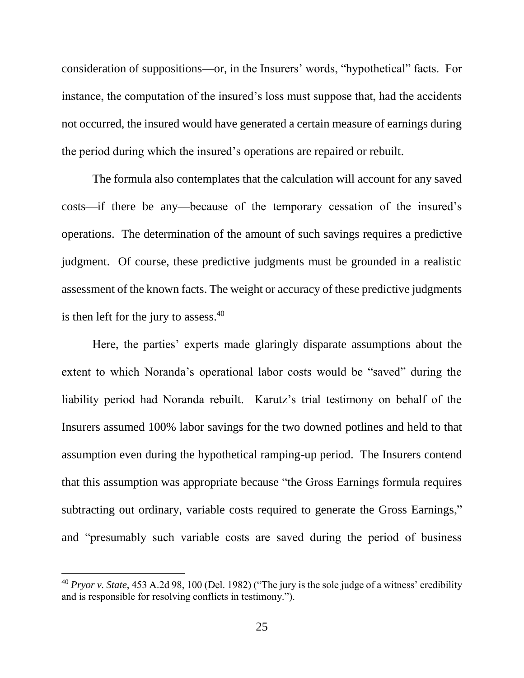consideration of suppositions—or, in the Insurers' words, "hypothetical" facts. For instance, the computation of the insured's loss must suppose that, had the accidents not occurred, the insured would have generated a certain measure of earnings during the period during which the insured's operations are repaired or rebuilt.

The formula also contemplates that the calculation will account for any saved costs—if there be any—because of the temporary cessation of the insured's operations. The determination of the amount of such savings requires a predictive judgment. Of course, these predictive judgments must be grounded in a realistic assessment of the known facts. The weight or accuracy of these predictive judgments is then left for the jury to assess. $40$ 

Here, the parties' experts made glaringly disparate assumptions about the extent to which Noranda's operational labor costs would be "saved" during the liability period had Noranda rebuilt. Karutz's trial testimony on behalf of the Insurers assumed 100% labor savings for the two downed potlines and held to that assumption even during the hypothetical ramping-up period. The Insurers contend that this assumption was appropriate because "the Gross Earnings formula requires subtracting out ordinary, variable costs required to generate the Gross Earnings," and "presumably such variable costs are saved during the period of business

<sup>40</sup> *Pryor v. State*, 453 A.2d 98, 100 (Del. 1982) ("The jury is the sole judge of a witness' credibility and is responsible for resolving conflicts in testimony.").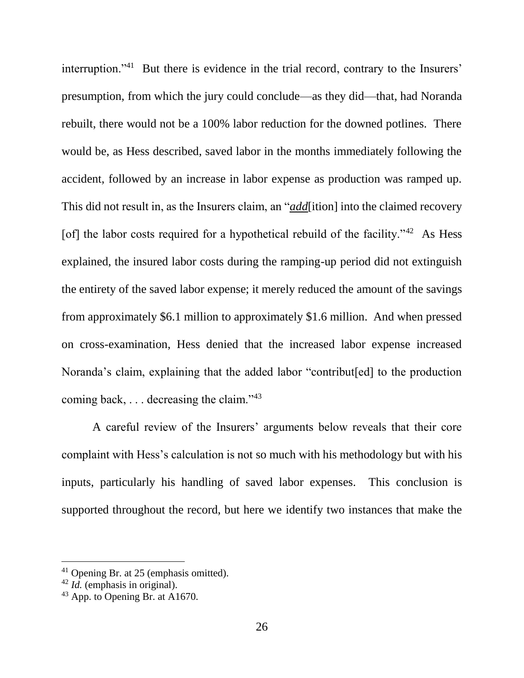interruption."<sup>41</sup> But there is evidence in the trial record, contrary to the Insurers' presumption, from which the jury could conclude—as they did—that, had Noranda rebuilt, there would not be a 100% labor reduction for the downed potlines. There would be, as Hess described, saved labor in the months immediately following the accident, followed by an increase in labor expense as production was ramped up. This did not result in, as the Insurers claim, an "*add*[ition] into the claimed recovery [of] the labor costs required for a hypothetical rebuild of the facility."<sup>42</sup> As Hess explained, the insured labor costs during the ramping-up period did not extinguish the entirety of the saved labor expense; it merely reduced the amount of the savings from approximately \$6.1 million to approximately \$1.6 million. And when pressed on cross-examination, Hess denied that the increased labor expense increased Noranda's claim, explaining that the added labor "contribut[ed] to the production coming back, . . . decreasing the claim."<sup>43</sup>

A careful review of the Insurers' arguments below reveals that their core complaint with Hess's calculation is not so much with his methodology but with his inputs, particularly his handling of saved labor expenses. This conclusion is supported throughout the record, but here we identify two instances that make the

<sup>41</sup> Opening Br. at 25 (emphasis omitted).

<sup>42</sup> *Id.* (emphasis in original).

 $43$  App. to Opening Br. at A1670.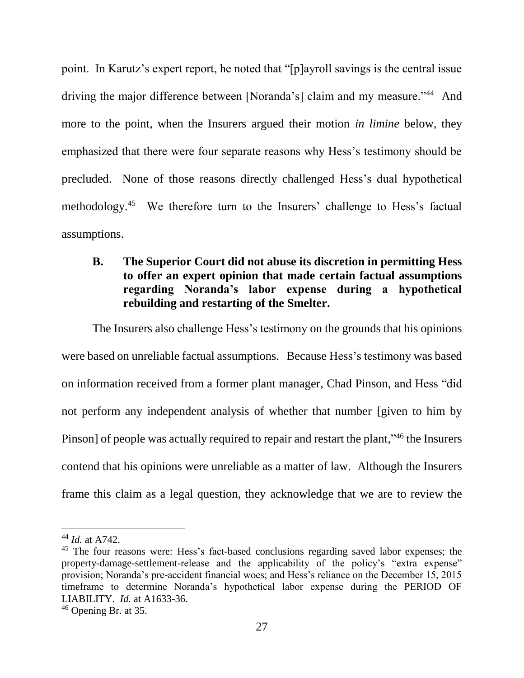point. In Karutz's expert report, he noted that "[p]ayroll savings is the central issue driving the major difference between [Noranda's] claim and my measure."<sup>44</sup> And more to the point, when the Insurers argued their motion *in limine* below, they emphasized that there were four separate reasons why Hess's testimony should be precluded. None of those reasons directly challenged Hess's dual hypothetical methodology.<sup>45</sup> We therefore turn to the Insurers' challenge to Hess's factual assumptions.

# **B. The Superior Court did not abuse its discretion in permitting Hess to offer an expert opinion that made certain factual assumptions regarding Noranda's labor expense during a hypothetical rebuilding and restarting of the Smelter.**

The Insurers also challenge Hess's testimony on the grounds that his opinions were based on unreliable factual assumptions. Because Hess's testimony was based on information received from a former plant manager, Chad Pinson, and Hess "did not perform any independent analysis of whether that number [given to him by Pinson] of people was actually required to repair and restart the plant,"<sup>46</sup> the Insurers contend that his opinions were unreliable as a matter of law. Although the Insurers frame this claim as a legal question, they acknowledge that we are to review the

<sup>44</sup> *Id.* at A742.

<sup>&</sup>lt;sup>45</sup> The four reasons were: Hess's fact-based conclusions regarding saved labor expenses; the property-damage-settlement-release and the applicability of the policy's "extra expense" provision; Noranda's pre-accident financial woes; and Hess's reliance on the December 15, 2015 timeframe to determine Noranda's hypothetical labor expense during the PERIOD OF LIABILITY. *Id.* at A1633-36.

<sup>46</sup> Opening Br. at 35.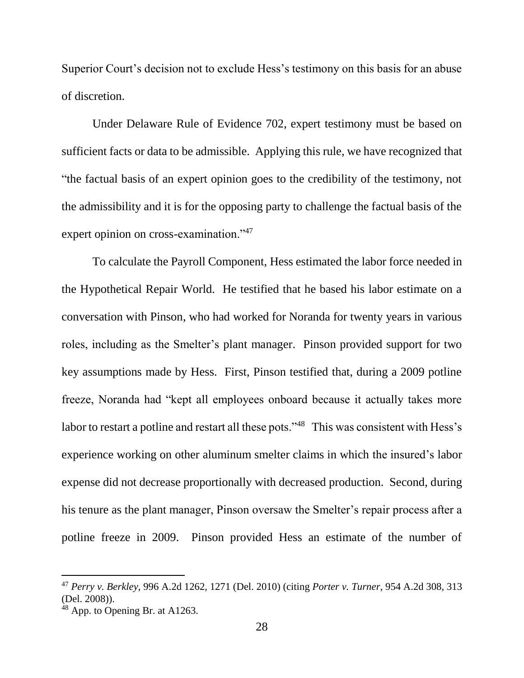Superior Court's decision not to exclude Hess's testimony on this basis for an abuse of discretion.

Under Delaware Rule of Evidence 702, expert testimony must be based on sufficient facts or data to be admissible. Applying this rule, we have recognized that "the factual basis of an expert opinion goes to the credibility of the testimony, not the admissibility and it is for the opposing party to challenge the factual basis of the expert opinion on cross-examination."<sup>47</sup>

To calculate the Payroll Component, Hess estimated the labor force needed in the Hypothetical Repair World. He testified that he based his labor estimate on a conversation with Pinson, who had worked for Noranda for twenty years in various roles, including as the Smelter's plant manager. Pinson provided support for two key assumptions made by Hess. First, Pinson testified that, during a 2009 potline freeze, Noranda had "kept all employees onboard because it actually takes more labor to restart a potline and restart all these pots."<sup>48</sup> This was consistent with Hess's experience working on other aluminum smelter claims in which the insured's labor expense did not decrease proportionally with decreased production. Second, during his tenure as the plant manager, Pinson oversaw the Smelter's repair process after a potline freeze in 2009. Pinson provided Hess an estimate of the number of

<sup>47</sup> *Perry v. Berkley*, 996 A.2d 1262, 1271 (Del. 2010) (citing *Porter v. Turner*, 954 A.2d 308, 313 (Del. 2008)).

<sup>48</sup> App. to Opening Br. at A1263.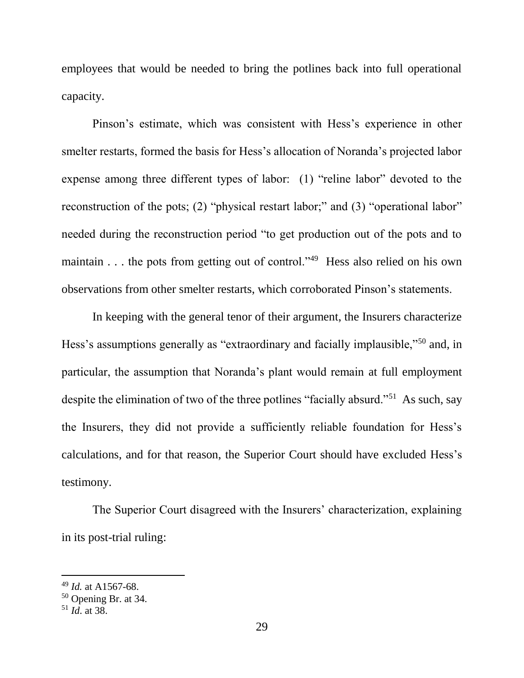employees that would be needed to bring the potlines back into full operational capacity.

Pinson's estimate, which was consistent with Hess's experience in other smelter restarts, formed the basis for Hess's allocation of Noranda's projected labor expense among three different types of labor: (1) "reline labor" devoted to the reconstruction of the pots; (2) "physical restart labor;" and (3) "operational labor" needed during the reconstruction period "to get production out of the pots and to maintain . . . the pots from getting out of control."<sup>49</sup> Hess also relied on his own observations from other smelter restarts, which corroborated Pinson's statements.

In keeping with the general tenor of their argument, the Insurers characterize Hess's assumptions generally as "extraordinary and facially implausible,"<sup>50</sup> and, in particular, the assumption that Noranda's plant would remain at full employment despite the elimination of two of the three potlines "facially absurd."<sup>51</sup> As such, say the Insurers, they did not provide a sufficiently reliable foundation for Hess's calculations, and for that reason, the Superior Court should have excluded Hess's testimony.

The Superior Court disagreed with the Insurers' characterization, explaining in its post-trial ruling:

<sup>49</sup> *Id.* at A1567-68.

 $50$  Opening Br. at 34.

<sup>51</sup> *Id*. at 38.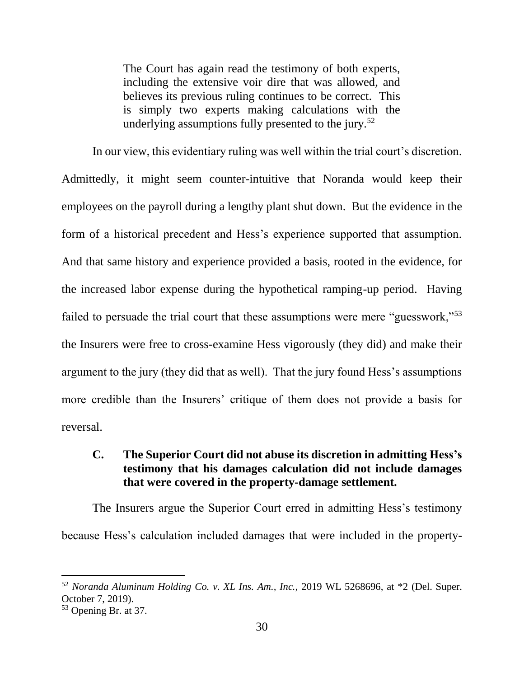The Court has again read the testimony of both experts, including the extensive voir dire that was allowed, and believes its previous ruling continues to be correct. This is simply two experts making calculations with the underlying assumptions fully presented to the jury.<sup>52</sup>

In our view, this evidentiary ruling was well within the trial court's discretion. Admittedly, it might seem counter-intuitive that Noranda would keep their employees on the payroll during a lengthy plant shut down. But the evidence in the form of a historical precedent and Hess's experience supported that assumption. And that same history and experience provided a basis, rooted in the evidence, for the increased labor expense during the hypothetical ramping-up period. Having failed to persuade the trial court that these assumptions were mere "guesswork,"<sup>53</sup> the Insurers were free to cross-examine Hess vigorously (they did) and make their argument to the jury (they did that as well). That the jury found Hess's assumptions more credible than the Insurers' critique of them does not provide a basis for reversal.

## **C. The Superior Court did not abuse its discretion in admitting Hess's testimony that his damages calculation did not include damages that were covered in the property-damage settlement.**

The Insurers argue the Superior Court erred in admitting Hess's testimony because Hess's calculation included damages that were included in the property-

<sup>52</sup> *Noranda Aluminum Holding Co. v. XL Ins. Am., Inc.*, 2019 WL 5268696, at \*2 (Del. Super. October 7, 2019).

<sup>53</sup> Opening Br. at 37.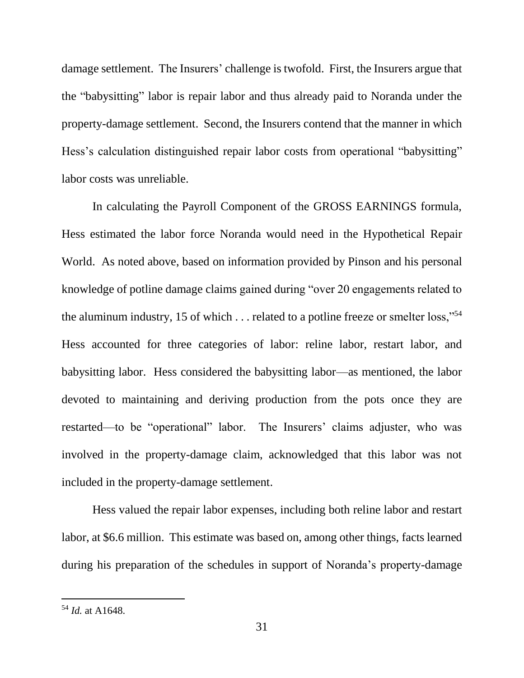damage settlement. The Insurers' challenge is twofold. First, the Insurers argue that the "babysitting" labor is repair labor and thus already paid to Noranda under the property-damage settlement. Second, the Insurers contend that the manner in which Hess's calculation distinguished repair labor costs from operational "babysitting" labor costs was unreliable.

In calculating the Payroll Component of the GROSS EARNINGS formula, Hess estimated the labor force Noranda would need in the Hypothetical Repair World. As noted above, based on information provided by Pinson and his personal knowledge of potline damage claims gained during "over 20 engagements related to the aluminum industry, 15 of which . . . related to a potline freeze or smelter loss,"<sup>54</sup> Hess accounted for three categories of labor: reline labor, restart labor, and babysitting labor. Hess considered the babysitting labor—as mentioned, the labor devoted to maintaining and deriving production from the pots once they are restarted—to be "operational" labor. The Insurers' claims adjuster, who was involved in the property-damage claim, acknowledged that this labor was not included in the property-damage settlement.

Hess valued the repair labor expenses, including both reline labor and restart labor, at \$6.6 million. This estimate was based on, among other things, facts learned during his preparation of the schedules in support of Noranda's property-damage

<sup>54</sup> *Id.* at A1648.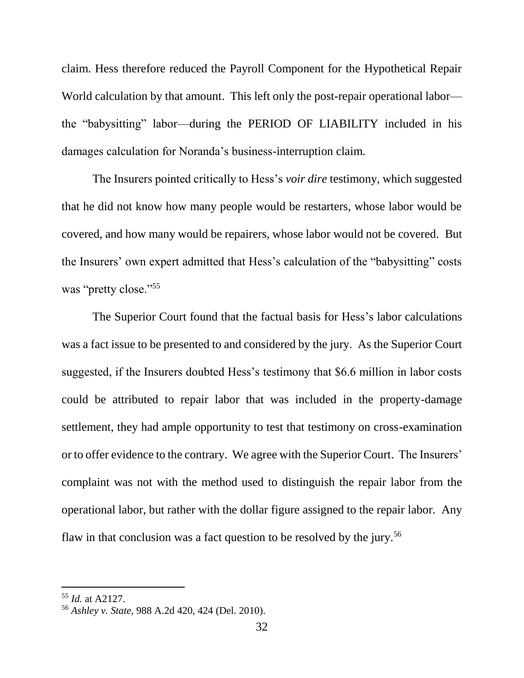claim. Hess therefore reduced the Payroll Component for the Hypothetical Repair World calculation by that amount. This left only the post-repair operational labor the "babysitting" labor—during the PERIOD OF LIABILITY included in his damages calculation for Noranda's business-interruption claim.

The Insurers pointed critically to Hess's *voir dire* testimony, which suggested that he did not know how many people would be restarters, whose labor would be covered, and how many would be repairers, whose labor would not be covered. But the Insurers' own expert admitted that Hess's calculation of the "babysitting" costs was "pretty close."<sup>55</sup>

The Superior Court found that the factual basis for Hess's labor calculations was a fact issue to be presented to and considered by the jury. As the Superior Court suggested, if the Insurers doubted Hess's testimony that \$6.6 million in labor costs could be attributed to repair labor that was included in the property-damage settlement, they had ample opportunity to test that testimony on cross-examination or to offer evidence to the contrary. We agree with the Superior Court. The Insurers' complaint was not with the method used to distinguish the repair labor from the operational labor, but rather with the dollar figure assigned to the repair labor. Any flaw in that conclusion was a fact question to be resolved by the jury.<sup>56</sup>

<sup>55</sup> *Id.* at A2127.

<sup>56</sup> *Ashley v. State*, 988 A.2d 420, 424 (Del. 2010).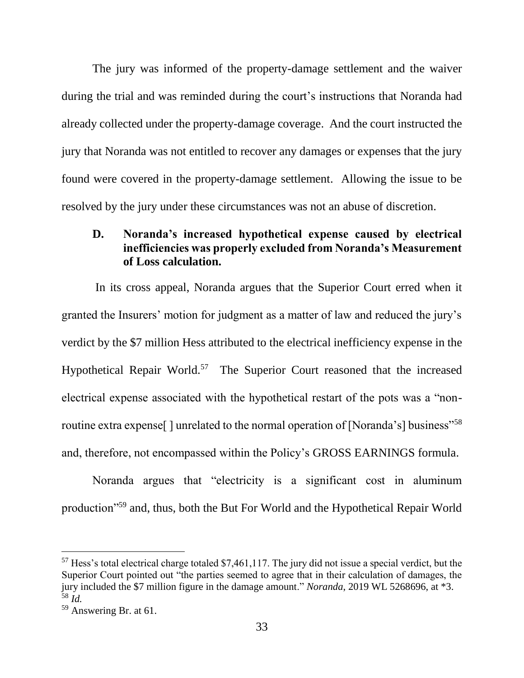The jury was informed of the property-damage settlement and the waiver during the trial and was reminded during the court's instructions that Noranda had already collected under the property-damage coverage. And the court instructed the jury that Noranda was not entitled to recover any damages or expenses that the jury found were covered in the property-damage settlement. Allowing the issue to be resolved by the jury under these circumstances was not an abuse of discretion.

## **D. Noranda's increased hypothetical expense caused by electrical inefficiencies was properly excluded from Noranda's Measurement of Loss calculation.**

In its cross appeal, Noranda argues that the Superior Court erred when it granted the Insurers' motion for judgment as a matter of law and reduced the jury's verdict by the \$7 million Hess attributed to the electrical inefficiency expense in the Hypothetical Repair World.<sup>57</sup> The Superior Court reasoned that the increased electrical expense associated with the hypothetical restart of the pots was a "nonroutine extra expense<sup>[]</sup> unrelated to the normal operation of [Noranda's] business"<sup>58</sup> and, therefore, not encompassed within the Policy's GROSS EARNINGS formula.

Noranda argues that "electricity is a significant cost in aluminum production"<sup>59</sup> and, thus, both the But For World and the Hypothetical Repair World

<sup>57</sup> Hess's total electrical charge totaled \$7,461,117. The jury did not issue a special verdict, but the Superior Court pointed out "the parties seemed to agree that in their calculation of damages, the jury included the \$7 million figure in the damage amount." *Noranda*, 2019 WL 5268696, at \*3. <sup>58</sup> *Id.*

<sup>59</sup> Answering Br. at 61.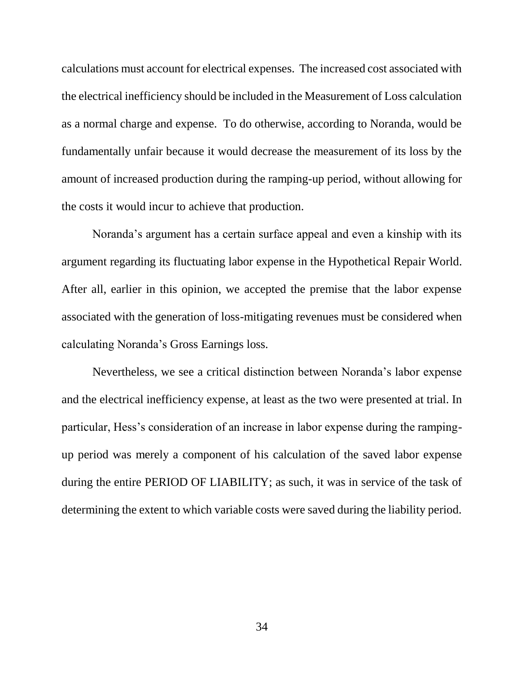calculations must account for electrical expenses. The increased cost associated with the electrical inefficiency should be included in the Measurement of Loss calculation as a normal charge and expense. To do otherwise, according to Noranda, would be fundamentally unfair because it would decrease the measurement of its loss by the amount of increased production during the ramping-up period, without allowing for the costs it would incur to achieve that production.

Noranda's argument has a certain surface appeal and even a kinship with its argument regarding its fluctuating labor expense in the Hypothetical Repair World. After all, earlier in this opinion, we accepted the premise that the labor expense associated with the generation of loss-mitigating revenues must be considered when calculating Noranda's Gross Earnings loss.

Nevertheless, we see a critical distinction between Noranda's labor expense and the electrical inefficiency expense, at least as the two were presented at trial. In particular, Hess's consideration of an increase in labor expense during the rampingup period was merely a component of his calculation of the saved labor expense during the entire PERIOD OF LIABILITY; as such, it was in service of the task of determining the extent to which variable costs were saved during the liability period.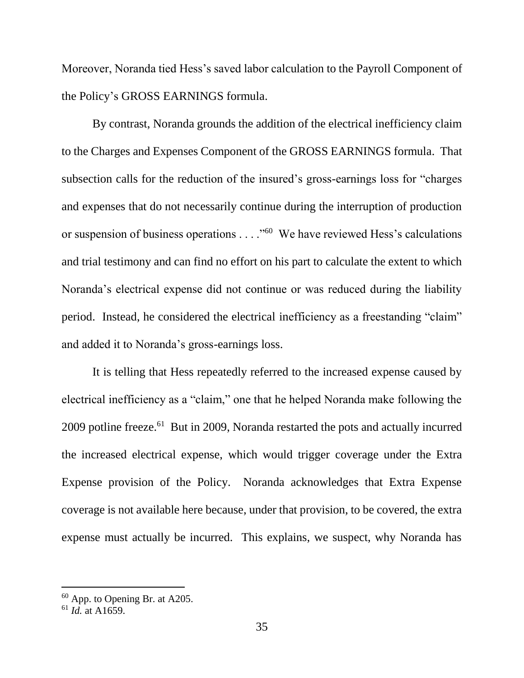Moreover, Noranda tied Hess's saved labor calculation to the Payroll Component of the Policy's GROSS EARNINGS formula.

By contrast, Noranda grounds the addition of the electrical inefficiency claim to the Charges and Expenses Component of the GROSS EARNINGS formula. That subsection calls for the reduction of the insured's gross-earnings loss for "charges and expenses that do not necessarily continue during the interruption of production or suspension of business operations . . . . "<sup>60</sup> We have reviewed Hess's calculations and trial testimony and can find no effort on his part to calculate the extent to which Noranda's electrical expense did not continue or was reduced during the liability period. Instead, he considered the electrical inefficiency as a freestanding "claim" and added it to Noranda's gross-earnings loss.

It is telling that Hess repeatedly referred to the increased expense caused by electrical inefficiency as a "claim," one that he helped Noranda make following the 2009 potline freeze.<sup>61</sup> But in 2009, Noranda restarted the pots and actually incurred the increased electrical expense, which would trigger coverage under the Extra Expense provision of the Policy. Noranda acknowledges that Extra Expense coverage is not available here because, under that provision, to be covered, the extra expense must actually be incurred. This explains, we suspect, why Noranda has

 $60$  App. to Opening Br. at A205.

 $^{61}$  *Id.* at A1659.